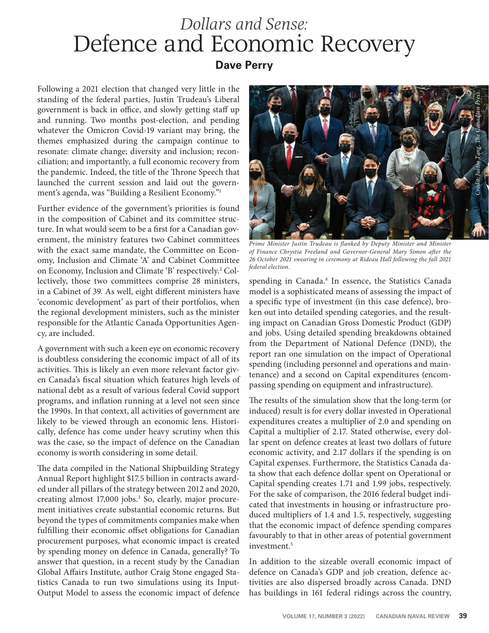## *Dollars and Sense:* Defence and Economic Recovery **Dave Perry**

Following a 2021 election that changed very little in the standing of the federal parties, Justin Trudeau's Liberal government is back in office, and slowly getting staff up and running. Two months post-election, and pending whatever the Omicron Covid-19 variant may bring, the themes emphasized during the campaign continue to resonate: climate change; diversity and inclusion; reconciliation; and importantly, a full economic recovery from the pandemic. Indeed, the title of the Throne Speech that launched the current session and laid out the government's agenda, was "Building a Resilient Economy."1

Further evidence of the government's priorities is found in the composition of Cabinet and its committee structure. In what would seem to be a first for a Canadian government, the ministry features two Cabinet committees with the exact same mandate, the Committee on Economy, Inclusion and Climate 'A' and Cabinet Committee on Economy, Inclusion and Climate 'B' respectively.<sup>2</sup> Collectively, those two committees comprise 28 ministers, in a Cabinet of 39. As well, eight different ministers have 'economic development' as part of their portfolios, when the regional development ministers, such as the minister responsible for the Atlantic Canada Opportunities Agency, are included.

A government with such a keen eye on economic recovery is doubtless considering the economic impact of all of its activities. This is likely an even more relevant factor given Canada's fiscal situation which features high levels of national debt as a result of various federal Covid support programs, and inflation running at a level not seen since the 1990s. In that context, all activities of government are likely to be viewed through an economic lens. Historically, defence has come under heavy scrutiny when this was the case, so the impact of defence on the Canadian economy is worth considering in some detail.

The data compiled in the National Shipbuilding Strategy Annual Report highlight \$17.5 billion in contracts awarded under all pillars of the strategy between 2012 and 2020, creating almost 17,000 jobs.<sup>3</sup> So, clearly, major procurement initiatives create substantial economic returns. But beyond the types of commitments companies make when fulfilling their economic offset obligations for Canadian procurement purposes, what economic impact is created by spending money on defence in Canada, generally? To answer that question, in a recent study by the Canadian Global Affairs Institute, author Craig Stone engaged Statistics Canada to run two simulations using its Input-Output Model to assess the economic impact of defence



Prime Minister Justin Trudeau is flanked by Deputy Minister and Minister *of Finance Chrystia Freeland and Governor-General Mary Simon after the 26 October 2021 swearing in ceremony at Rideau Hall following the fall 2021 federal election.*

spending in Canada.<sup>4</sup> In essence, the Statistics Canada model is a sophisticated means of assessing the impact of a specific type of investment (in this case defence), broken out into detailed spending categories, and the resulting impact on Canadian Gross Domestic Product (GDP) and jobs. Using detailed spending breakdowns obtained from the Department of National Defence (DND), the report ran one simulation on the impact of Operational spending (including personnel and operations and maintenance) and a second on Capital expenditures (encompassing spending on equipment and infrastructure).

The results of the simulation show that the long-term (or induced) result is for every dollar invested in Operational expenditures creates a multiplier of 2.0 and spending on Capital a multiplier of 2.17. Stated otherwise, every dollar spent on defence creates at least two dollars of future economic activity, and 2.17 dollars if the spending is on Capital expenses. Furthermore, the Statistics Canada data show that each defence dollar spent on Operational or Capital spending creates 1.71 and 1.99 jobs, respectively. For the sake of comparison, the 2016 federal budget indicated that investments in housing or infrastructure produced multipliers of 1.4 and 1.5, respectively, suggesting that the economic impact of defence spending compares favourably to that in other areas of potential government investment.<sup>5</sup>

In addition to the sizeable overall economic impact of defence on Canada's GDP and job creation, defence activities are also dispersed broadly across Canada. DND has buildings in 161 federal ridings across the country,